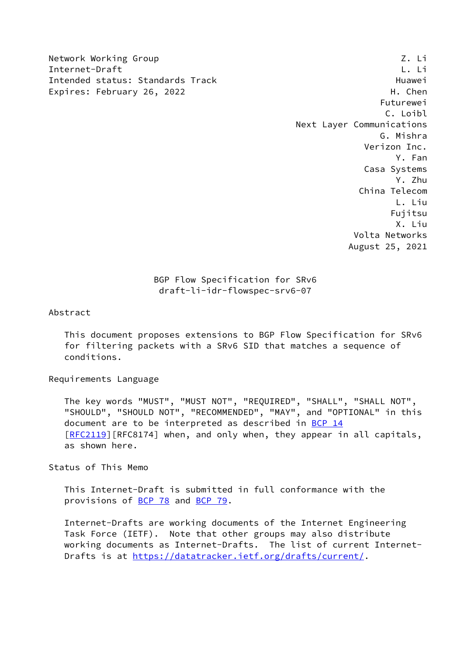Network Working Group Z. Li Internet-Draft L. Li Intended status: Standards Track **Example 2018** Huawei Expires: February 26, 2022 H. Chen

 Futurewei C. Loibl Next Layer Communications G. Mishra Verizon Inc. Y. Fan Casa Systems Y. Zhu China Telecom L. Liu Fujitsu X. Liu Volta Networks August 25, 2021

## BGP Flow Specification for SRv6 draft-li-idr-flowspec-srv6-07

Abstract

 This document proposes extensions to BGP Flow Specification for SRv6 for filtering packets with a SRv6 SID that matches a sequence of conditions.

## Requirements Language

 The key words "MUST", "MUST NOT", "REQUIRED", "SHALL", "SHALL NOT", "SHOULD", "SHOULD NOT", "RECOMMENDED", "MAY", and "OPTIONAL" in this document are to be interpreted as described in [BCP 14](https://datatracker.ietf.org/doc/pdf/bcp14) [\[RFC2119](https://datatracker.ietf.org/doc/pdf/rfc2119)][RFC8174] when, and only when, they appear in all capitals, as shown here.

Status of This Memo

 This Internet-Draft is submitted in full conformance with the provisions of [BCP 78](https://datatracker.ietf.org/doc/pdf/bcp78) and [BCP 79](https://datatracker.ietf.org/doc/pdf/bcp79).

 Internet-Drafts are working documents of the Internet Engineering Task Force (IETF). Note that other groups may also distribute working documents as Internet-Drafts. The list of current Internet- Drafts is at<https://datatracker.ietf.org/drafts/current/>.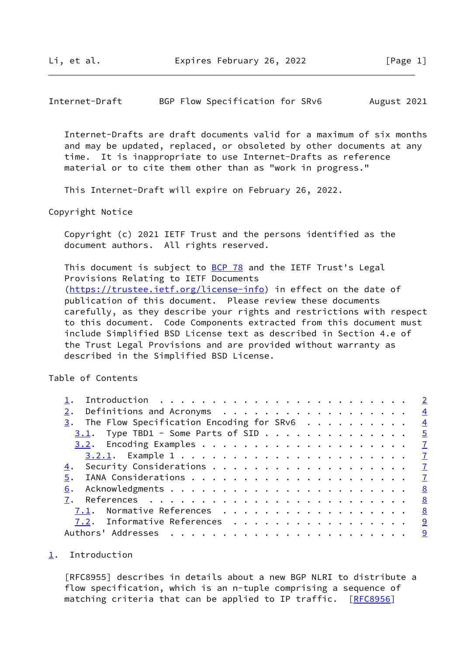<span id="page-1-1"></span>Internet-Draft BGP Flow Specification for SRv6 August 2021

 Internet-Drafts are draft documents valid for a maximum of six months and may be updated, replaced, or obsoleted by other documents at any time. It is inappropriate to use Internet-Drafts as reference material or to cite them other than as "work in progress."

This Internet-Draft will expire on February 26, 2022.

Copyright Notice

 Copyright (c) 2021 IETF Trust and the persons identified as the document authors. All rights reserved.

This document is subject to [BCP 78](https://datatracker.ietf.org/doc/pdf/bcp78) and the IETF Trust's Legal Provisions Relating to IETF Documents [\(https://trustee.ietf.org/license-info](https://trustee.ietf.org/license-info)) in effect on the date of publication of this document. Please review these documents carefully, as they describe your rights and restrictions with respect to this document. Code Components extracted from this document must include Simplified BSD License text as described in Section 4.e of the Trust Legal Provisions and are provided without warranty as described in the Simplified BSD License.

Table of Contents

| Definitions and Acronyms $\frac{4}{5}$                     |              |
|------------------------------------------------------------|--------------|
| $\frac{3}{2}$ . The Flow Specification Encoding for SRv6 4 |              |
| $3.1$ . Type TBD1 - Some Parts of SID 5                    |              |
|                                                            |              |
|                                                            |              |
| 4.                                                         |              |
| 5.                                                         |              |
|                                                            | 8            |
|                                                            | $^{\circ}$ 8 |
| 7.1. Normative References 8                                |              |
| 7.2. Informative References 9                              |              |
|                                                            |              |

## <span id="page-1-0"></span>[1](#page-1-0). Introduction

 [RFC8955] describes in details about a new BGP NLRI to distribute a flow specification, which is an n-tuple comprising a sequence of matching criteria that can be applied to IP traffic. [[RFC8956](https://datatracker.ietf.org/doc/pdf/rfc8956)]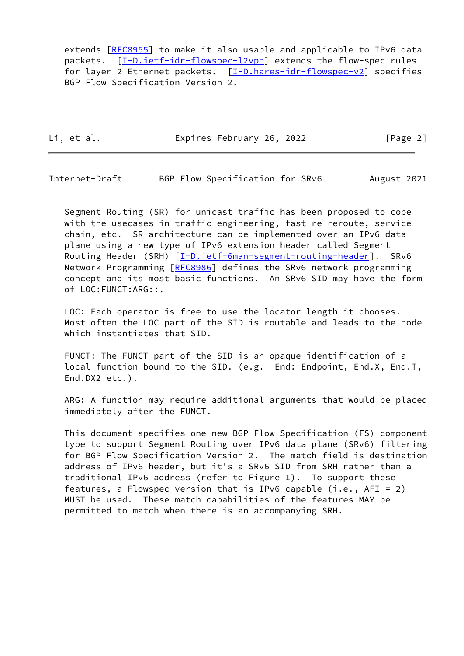extends [\[RFC8955](https://datatracker.ietf.org/doc/pdf/rfc8955)] to make it also usable and applicable to IPv6 data packets. [[I-D.ietf-idr-flowspec-l2vpn](#page-9-2)] extends the flow-spec rules for layer 2 Ethernet packets. [\[I-D.hares-idr-flowspec-v2](#page-8-2)] specifies BGP Flow Specification Version 2.

Li, et al. Expires February 26, 2022 [Page 2]

Internet-Draft BGP Flow Specification for SRv6 August 2021

 Segment Routing (SR) for unicast traffic has been proposed to cope with the usecases in traffic engineering, fast re-reroute, service chain, etc. SR architecture can be implemented over an IPv6 data plane using a new type of IPv6 extension header called Segment Routing Header (SRH) [\[I-D.ietf-6man-segment-routing-header](#page-9-3)]. SRv6 Network Programming [\[RFC8986](https://datatracker.ietf.org/doc/pdf/rfc8986)] defines the SRv6 network programming concept and its most basic functions. An SRv6 SID may have the form of LOC:FUNCT:ARG::.

 LOC: Each operator is free to use the locator length it chooses. Most often the LOC part of the SID is routable and leads to the node which instantiates that SID.

 FUNCT: The FUNCT part of the SID is an opaque identification of a local function bound to the SID. (e.g. End: Endpoint, End.X, End.T, End.DX2 etc.).

 ARG: A function may require additional arguments that would be placed immediately after the FUNCT.

 This document specifies one new BGP Flow Specification (FS) component type to support Segment Routing over IPv6 data plane (SRv6) filtering for BGP Flow Specification Version 2. The match field is destination address of IPv6 header, but it's a SRv6 SID from SRH rather than a traditional IPv6 address (refer to Figure 1). To support these features, a Flowspec version that is IPv6 capable (i.e.,  $AFI = 2$ ) MUST be used. These match capabilities of the features MAY be permitted to match when there is an accompanying SRH.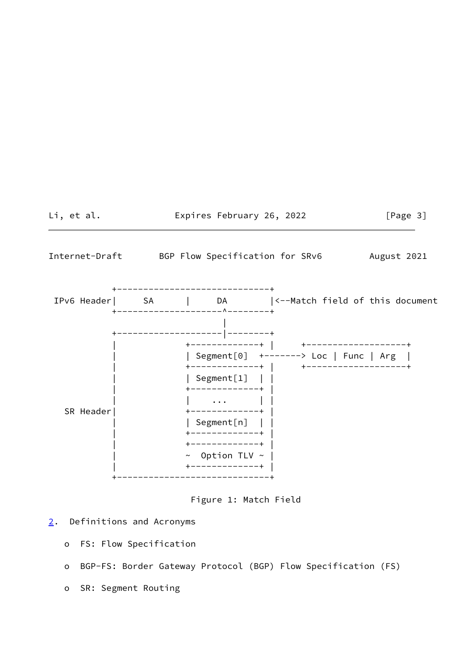<span id="page-3-1"></span>

Figure 1: Match Field

- <span id="page-3-0"></span>[2](#page-3-0). Definitions and Acronyms
	- o FS: Flow Specification
	- o BGP-FS: Border Gateway Protocol (BGP) Flow Specification (FS)
	- o SR: Segment Routing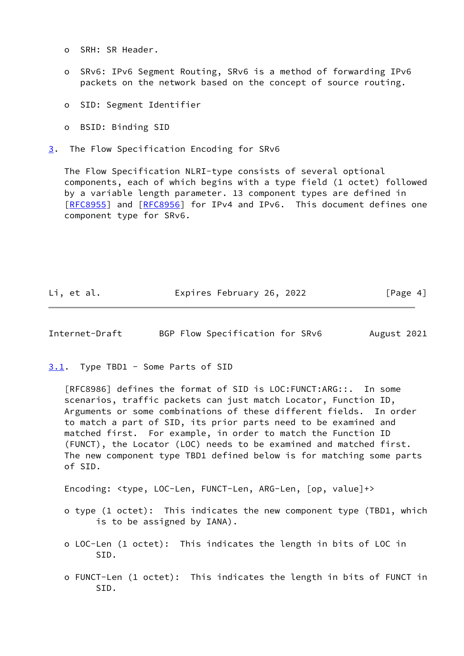- o SRH: SR Header.
- o SRv6: IPv6 Segment Routing, SRv6 is a method of forwarding IPv6 packets on the network based on the concept of source routing.
- o SID: Segment Identifier
- o BSID: Binding SID
- <span id="page-4-0"></span>[3](#page-4-0). The Flow Specification Encoding for SRv6

 The Flow Specification NLRI-type consists of several optional components, each of which begins with a type field (1 octet) followed by a variable length parameter. 13 component types are defined in [\[RFC8955](https://datatracker.ietf.org/doc/pdf/rfc8955)] and [[RFC8956](https://datatracker.ietf.org/doc/pdf/rfc8956)] for IPv4 and IPv6. This document defines one component type for SRv6.

Li, et al. Expires February 26, 2022 [Page 4]

<span id="page-4-2"></span>Internet-Draft BGP Flow Specification for SRv6 August 2021

<span id="page-4-1"></span>[3.1](#page-4-1). Type TBD1 - Some Parts of SID

 [RFC8986] defines the format of SID is LOC:FUNCT:ARG::. In some scenarios, traffic packets can just match Locator, Function ID, Arguments or some combinations of these different fields. In order to match a part of SID, its prior parts need to be examined and matched first. For example, in order to match the Function ID (FUNCT), the Locator (LOC) needs to be examined and matched first. The new component type TBD1 defined below is for matching some parts of SID.

Encoding: <type, LOC-Len, FUNCT-Len, ARG-Len, [op, value]+>

- o type (1 octet): This indicates the new component type (TBD1, which is to be assigned by IANA).
- o LOC-Len (1 octet): This indicates the length in bits of LOC in SID.
- o FUNCT-Len (1 octet): This indicates the length in bits of FUNCT in SID.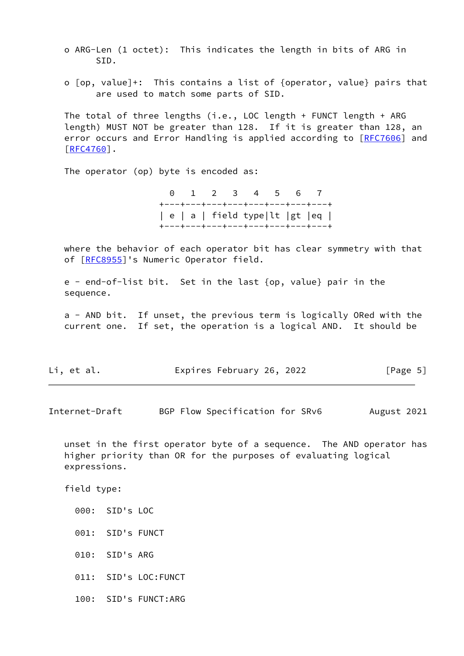o ARG-Len (1 octet): This indicates the length in bits of ARG in SID.

 o [op, value]+: This contains a list of {operator, value} pairs that are used to match some parts of SID.

 The total of three lengths (i.e., LOC length + FUNCT length + ARG length) MUST NOT be greater than 128. If it is greater than 128, an error occurs and Error Handling is applied according to [\[RFC7606](https://datatracker.ietf.org/doc/pdf/rfc7606)] and [\[RFC4760](https://datatracker.ietf.org/doc/pdf/rfc4760)].

The operator (op) byte is encoded as:

 0 1 2 3 4 5 6 7 +---+---+---+---+---+---+---+---+ | e | a | field type|lt |gt |eq | +---+---+---+---+---+---+---+---+

 where the behavior of each operator bit has clear symmetry with that of [[RFC8955\]](https://datatracker.ietf.org/doc/pdf/rfc8955)'s Numeric Operator field.

 e - end-of-list bit. Set in the last {op, value} pair in the sequence.

 a - AND bit. If unset, the previous term is logically ORed with the current one. If set, the operation is a logical AND. It should be

| Li, et al. | Expires February 26, 2022 |  | [Page 5] |  |
|------------|---------------------------|--|----------|--|
|------------|---------------------------|--|----------|--|

Internet-Draft BGP Flow Specification for SRv6 August 2021

 unset in the first operator byte of a sequence. The AND operator has higher priority than OR for the purposes of evaluating logical expressions.

field type:

- 000: SID's LOC
- 001: SID's FUNCT
- 010: SID's ARG
- 011: SID's LOC:FUNCT
- 100: SID's FUNCT:ARG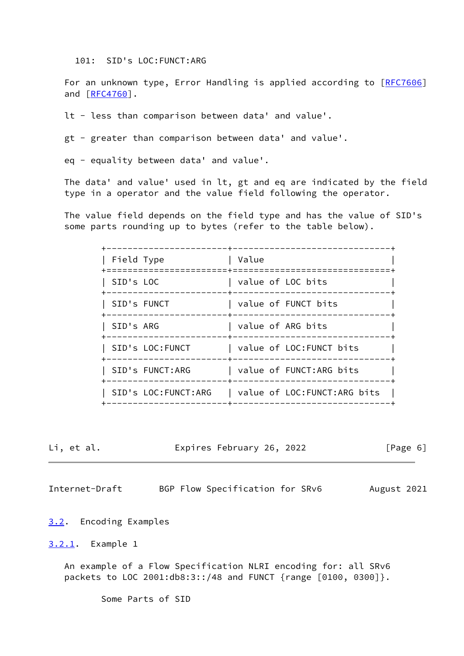101: SID's LOC:FUNCT:ARG

For an unknown type, Error Handling is applied according to [\[RFC7606](https://datatracker.ietf.org/doc/pdf/rfc7606)] and [\[RFC4760](https://datatracker.ietf.org/doc/pdf/rfc4760)].

lt - less than comparison between data' and value'.

gt - greater than comparison between data' and value'.

eq - equality between data' and value'.

 The data' and value' used in lt, gt and eq are indicated by the field type in a operator and the value field following the operator.

 The value field depends on the field type and has the value of SID's some parts rounding up to bytes (refer to the table below).

| Field Type          | Value                         |
|---------------------|-------------------------------|
| SID's LOC           | value of LOC bits             |
| SID's FUNCT         | value of FUNCT bits           |
| SID's ARG           | value of ARG bits             |
| SID's LOC:FUNCT     | value of LOC: FUNCT bits      |
| SID's FUNCT:ARG     | value of FUNCT:ARG bits       |
| SID's LOC:FUNCT:ARG | value of LOC: FUNCT: ARG bits |
|                     |                               |

| et. | ั al. |  |
|-----|-------|--|
|     |       |  |

Expires February 26, 2022 [Page 6]

<span id="page-6-1"></span>Internet-Draft BGP Flow Specification for SRv6 August 2021

<span id="page-6-0"></span>[3.2](#page-6-0). Encoding Examples

<span id="page-6-2"></span>[3.2.1](#page-6-2). Example 1

 An example of a Flow Specification NLRI encoding for: all SRv6 packets to LOC 2001:db8:3::/48 and FUNCT {range [0100, 0300]}.

Some Parts of SID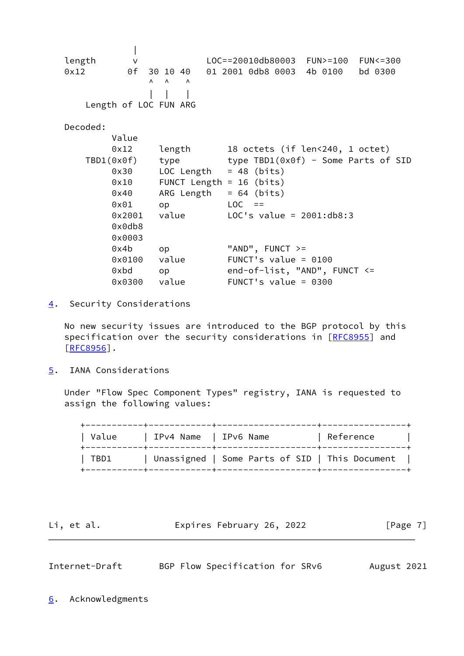| length v LOC==20010db80003 FUN>=100 FUN<=300 0x12 0f 30 10 40 01 2001 0db8 0003 4b 0100 bd 0300  $\begin{matrix} \Lambda & \Lambda & \Lambda \end{matrix}$  | | | Length of LOC FUN ARG Decoded: Value 0x12 length 18 octets (if len<240, 1 octet) TBD1(0x0f) type type TBD1(0x0f) - Some Parts of SID  $0x30$  LOC Length = 48 (bits) 0x10 FUNCT Length = 16 (bits)  $0x40$  ARG Length = 64 (bits)  $0 \times 01$  op LOC == 0x2001 value LOC's value = 2001:db8:3 0x0db8 0x0003  $0x4b$  op "AND", FUNCT  $>=$  0x0100 value FUNCT's value = 0100 0xbd op end-of-list, "AND", FUNCT <= 0x0300 value FUNCT's value = 0300

<span id="page-7-0"></span>[4](#page-7-0). Security Considerations

 No new security issues are introduced to the BGP protocol by this specification over the security considerations in [[RFC8955](https://datatracker.ietf.org/doc/pdf/rfc8955)] and [\[RFC8956](https://datatracker.ietf.org/doc/pdf/rfc8956)].

<span id="page-7-1"></span>[5](#page-7-1). IANA Considerations

 Under "Flow Spec Component Types" registry, IANA is requested to assign the following values:

| Value | IPv4 Name   IPv6 Name |                                                | Reference |
|-------|-----------------------|------------------------------------------------|-----------|
| TBD1  |                       | Unassigned   Some Parts of SID   This Document |           |

Li, et al. **Expires February 26, 2022** [Page 7]

<span id="page-7-3"></span>Internet-Draft BGP Flow Specification for SRv6 August 2021

<span id="page-7-2"></span>[6](#page-7-2). Acknowledgments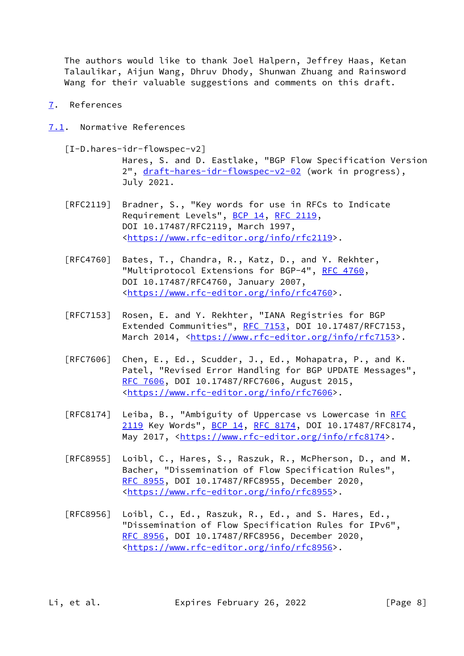The authors would like to thank Joel Halpern, Jeffrey Haas, Ketan Talaulikar, Aijun Wang, Dhruv Dhody, Shunwan Zhuang and Rainsword Wang for their valuable suggestions and comments on this draft.

- <span id="page-8-0"></span>[7](#page-8-0). References
- <span id="page-8-1"></span>[7.1](#page-8-1). Normative References

<span id="page-8-2"></span> [I-D.hares-idr-flowspec-v2] Hares, S. and D. Eastlake, "BGP Flow Specification Version 2", [draft-hares-idr-flowspec-v2-02](https://datatracker.ietf.org/doc/pdf/draft-hares-idr-flowspec-v2-02) (work in progress), July 2021.

- [RFC2119] Bradner, S., "Key words for use in RFCs to Indicate Requirement Levels", [BCP 14](https://datatracker.ietf.org/doc/pdf/bcp14), [RFC 2119](https://datatracker.ietf.org/doc/pdf/rfc2119), DOI 10.17487/RFC2119, March 1997, <[https://www.rfc-editor.org/info/rfc2119>](https://www.rfc-editor.org/info/rfc2119).
- [RFC4760] Bates, T., Chandra, R., Katz, D., and Y. Rekhter, "Multiprotocol Extensions for BGP-4", [RFC 4760](https://datatracker.ietf.org/doc/pdf/rfc4760), DOI 10.17487/RFC4760, January 2007, <[https://www.rfc-editor.org/info/rfc4760>](https://www.rfc-editor.org/info/rfc4760).
- [RFC7153] Rosen, E. and Y. Rekhter, "IANA Registries for BGP Extended Communities", [RFC 7153](https://datatracker.ietf.org/doc/pdf/rfc7153), DOI 10.17487/RFC7153, March 2014, [<https://www.rfc-editor.org/info/rfc7153](https://www.rfc-editor.org/info/rfc7153)>.
- [RFC7606] Chen, E., Ed., Scudder, J., Ed., Mohapatra, P., and K. Patel, "Revised Error Handling for BGP UPDATE Messages", [RFC 7606,](https://datatracker.ietf.org/doc/pdf/rfc7606) DOI 10.17487/RFC7606, August 2015, <[https://www.rfc-editor.org/info/rfc7606>](https://www.rfc-editor.org/info/rfc7606).
- [RFC8174] Leiba, B., "Ambiguity of Uppercase vs Lowercase in [RFC](https://datatracker.ietf.org/doc/pdf/rfc2119) [2119](https://datatracker.ietf.org/doc/pdf/rfc2119) Key Words", [BCP 14](https://datatracker.ietf.org/doc/pdf/bcp14), [RFC 8174,](https://datatracker.ietf.org/doc/pdf/rfc8174) DOI 10.17487/RFC8174, May 2017, [<https://www.rfc-editor.org/info/rfc8174](https://www.rfc-editor.org/info/rfc8174)>.
- [RFC8955] Loibl, C., Hares, S., Raszuk, R., McPherson, D., and M. Bacher, "Dissemination of Flow Specification Rules", [RFC 8955,](https://datatracker.ietf.org/doc/pdf/rfc8955) DOI 10.17487/RFC8955, December 2020, <[https://www.rfc-editor.org/info/rfc8955>](https://www.rfc-editor.org/info/rfc8955).
- [RFC8956] Loibl, C., Ed., Raszuk, R., Ed., and S. Hares, Ed., "Dissemination of Flow Specification Rules for IPv6", [RFC 8956,](https://datatracker.ietf.org/doc/pdf/rfc8956) DOI 10.17487/RFC8956, December 2020, <[https://www.rfc-editor.org/info/rfc8956>](https://www.rfc-editor.org/info/rfc8956).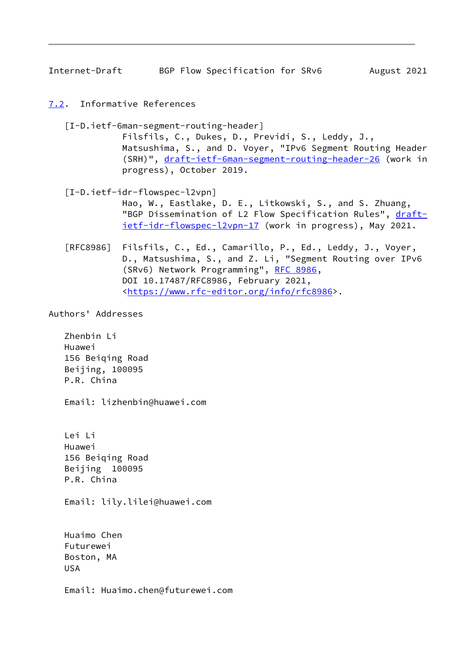<span id="page-9-1"></span>Internet-Draft BGP Flow Specification for SRv6 August 2021

<span id="page-9-0"></span>[7.2](#page-9-0). Informative References

<span id="page-9-3"></span>[I-D.ietf-6man-segment-routing-header]

 Filsfils, C., Dukes, D., Previdi, S., Leddy, J., Matsushima, S., and D. Voyer, "IPv6 Segment Routing Header (SRH)", [draft-ietf-6man-segment-routing-header-26](https://datatracker.ietf.org/doc/pdf/draft-ietf-6man-segment-routing-header-26) (work in progress), October 2019.

<span id="page-9-2"></span> [I-D.ietf-idr-flowspec-l2vpn] Hao, W., Eastlake, D. E., Litkowski, S., and S. Zhuang, "BGP Dissemination of L2 Flow Specification Rules", [draft](https://datatracker.ietf.org/doc/pdf/draft-ietf-idr-flowspec-l2vpn-17) [ietf-idr-flowspec-l2vpn-17](https://datatracker.ietf.org/doc/pdf/draft-ietf-idr-flowspec-l2vpn-17) (work in progress), May 2021.

 [RFC8986] Filsfils, C., Ed., Camarillo, P., Ed., Leddy, J., Voyer, D., Matsushima, S., and Z. Li, "Segment Routing over IPv6 (SRv6) Network Programming", [RFC 8986](https://datatracker.ietf.org/doc/pdf/rfc8986), DOI 10.17487/RFC8986, February 2021, <[https://www.rfc-editor.org/info/rfc8986>](https://www.rfc-editor.org/info/rfc8986).

Authors' Addresses

 Zhenbin Li Huawei 156 Beiqing Road Beijing, 100095 P.R. China

Email: lizhenbin@huawei.com

 Lei Li Huawei 156 Beiqing Road Beijing 100095 P.R. China

Email: lily.lilei@huawei.com

 Huaimo Chen Futurewei Boston, MA USA

Email: Huaimo.chen@futurewei.com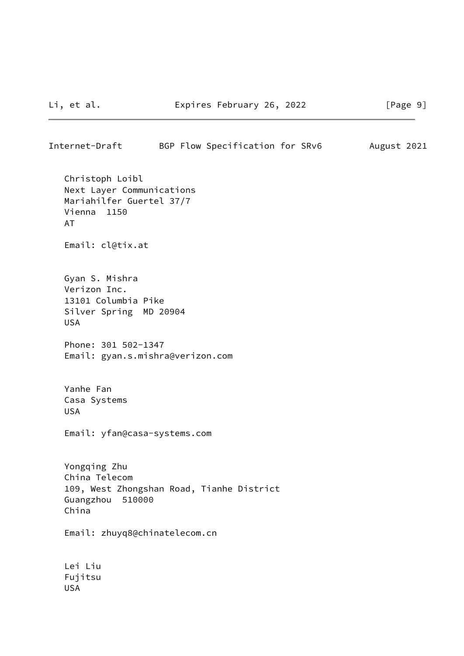| Internet-Draft                                                                                             | BGP Flow Specification for SRv6 |  | August 2021 |  |
|------------------------------------------------------------------------------------------------------------|---------------------------------|--|-------------|--|
| Christoph Loibl<br>Next Layer Communications<br>Mariahilfer Guertel 37/7<br>Vienna 1150<br><b>AT</b>       |                                 |  |             |  |
| Email: cl@tix.at                                                                                           |                                 |  |             |  |
| Gyan S. Mishra<br>Verizon Inc.<br>13101 Columbia Pike<br>Silver Spring MD 20904<br><b>USA</b>              |                                 |  |             |  |
| Phone: 301 502-1347<br>Email: gyan.s.mishra@verizon.com                                                    |                                 |  |             |  |
| Yanhe Fan<br>Casa Systems<br><b>USA</b>                                                                    |                                 |  |             |  |
| Email: yfan@casa-systems.com                                                                               |                                 |  |             |  |
| Yongqing Zhu<br>China Telecom<br>109, West Zhongshan Road, Tianhe District<br>Guangzhou<br>510000<br>China |                                 |  |             |  |
| Email: zhuyq8@chinatelecom.cn                                                                              |                                 |  |             |  |
| Lei Liu<br>Fujitsu<br><b>USA</b>                                                                           |                                 |  |             |  |